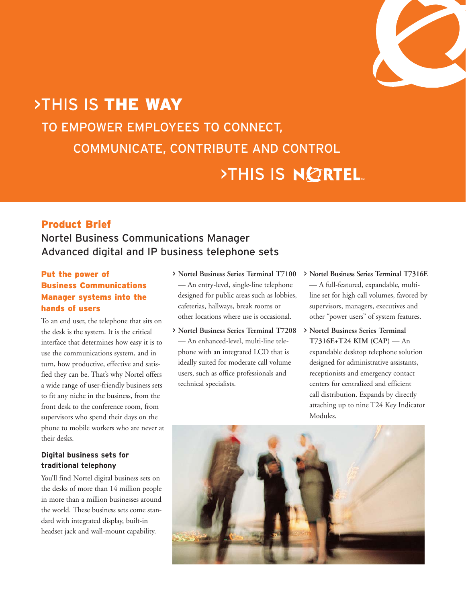

# >THIS IS THE WAY TO EMPOWER EMPLOYEES TO CONNECT, COMMUNICATE, CONTRIBUTE AND CONTROL **>THIS IS NØRTEL**

# Product Brief

# Nortel Business Communications Manager Advanced digital and IP business telephone sets

## Put the power of Business Communications Manager systems into the hands of users

To an end user, the telephone that sits on the desk is the system. It is the critical interface that determines how easy it is to use the communications system, and in turn, how productive, effective and satisfied they can be. That's why Nortel offers a wide range of user-friendly business sets to fit any niche in the business, from the front desk to the conference room, from supervisors who spend their days on the phone to mobile workers who are never at their desks.

#### **Digital business sets for traditional telephony**

You'll find Nortel digital business sets on the desks of more than 14 million people in more than a million businesses around the world. These business sets come standard with integrated display, built-in headset jack and wall-mount capability.

- > **Nortel Business Series Terminal T7100** — An entry-level, single-line telephone designed for public areas such as lobbies, cafeterias, hallways, break rooms or other locations where use is occasional.
- > **Nortel Business Series Terminal T7208** — An enhanced-level, multi-line telephone with an integrated LCD that is ideally suited for moderate call volume users, such as office professionals and technical specialists.
- > **Nortel Business Series Terminal T7316E** — A full-featured, expandable, multiline set for high call volumes, favored by supervisors, managers, executives and other "power users" of system features.
- > **Nortel Business Series Terminal T7316E+T24 KIM (CAP)** — An expandable desktop telephone solution designed for administrative assistants, receptionists and emergency contact centers for centralized and efficient call distribution. Expands by directly attaching up to nine T24 Key Indicator Modules.

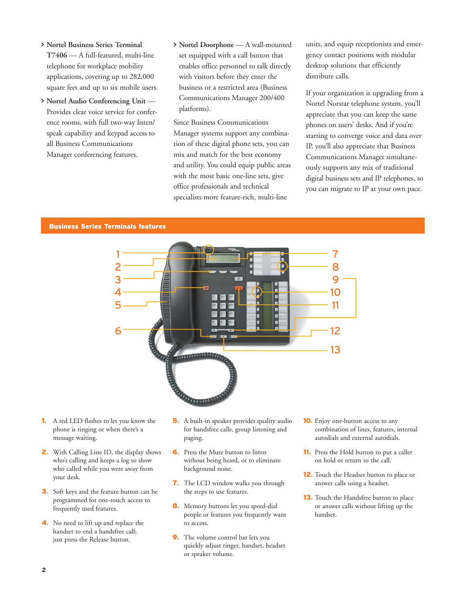- > **Nortel Business Series Terminal T7406** — A full-featured, multi-line telephone for workplace mobility applications, covering up to 282,000 square feet and up to six mobile users.
- > **Nortel Audio Conferencing Unit** Provides clear voice service for conference rooms, with full two-way listen/ speak capability and keypad access to all Business Communications Manager conferencing features.
- > **Nortel Doorphone** A wall-mounted set equipped with a call button that enables office personnel to talk directly with visitors before they enter the business or a restricted area (Business Communications Manager 200/400 platforms).

Since Business Communications Manager systems support any combination of these digital phone sets, you can mix and match for the best economy and utility. You could equip public areas with the most basic one-line sets, give office professionals and technical specialists more feature-rich, multi-line

units, and equip receptionists and emergency contact positions with modular desktop solutions that efficiently distribute calls.

If your organization is upgrading from a Nortel Norstar telephone system, you'll appreciate that you can keep the same phones on users' desks. And if you're starting to converge voice and data over IP, you'll also appreciate that Business Communications Manager simultaneously supports any mix of traditional digital business sets and IP telephones, so you can migrate to IP at your own pace.

#### Business Series Terminals features



- 1**.** A red LED flashes to let you know the phone is ringing or when there's a message waiting.
- 2**.** With Calling Line ID, the display shows who's calling and keeps a log to show who called while you were away from your desk.
- 3**.** Soft keys and the feature button can be programmed for one-touch access to frequently used features.
- 4**.** No need to lift up and replace the handset to end a handsfree call; just press the Release button.
- 5**.** A built-in speaker provides quality audio for handsfree calls, group listening and paging.
- **6.** Press the Mute button to listen without being heard, or to eliminate background noise.
- 7**.** The LCD window walks you through the steps to use features.
- 8**.** Memory buttons let you speed-dial people or features you frequently want to access.
- **9.** The volume control bar lets you quickly adjust ringer, handset, headset or speaker volume.
- 10**.** Enjoy one-button access to any combination of lines, features, internal autodials and external autodials.
- 11**.** Press the Hold button to put a caller on hold or return to the call.
- 12**.** Touch the Headset button to place or answer calls using a headset.
- 13**.** Touch the Handsfree button to place or answer calls without lifting up the handset.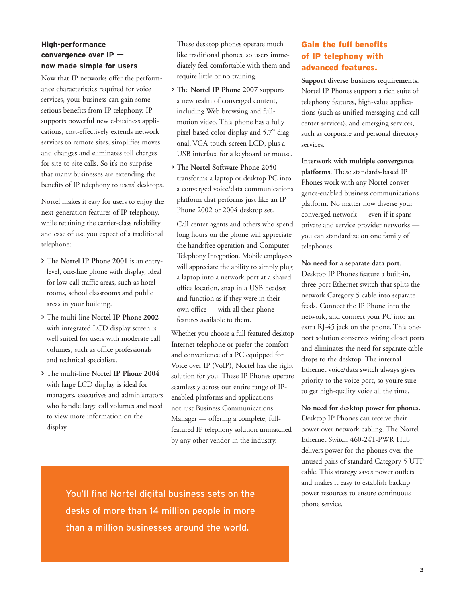#### **High-performance convergence over IP now made simple for users**

Now that IP networks offer the performance characteristics required for voice services, your business can gain some serious benefits from IP telephony. IP supports powerful new e-business applications, cost-effectively extends network services to remote sites, simplifies moves and changes and eliminates toll charges for site-to-site calls. So it's no surprise that many businesses are extending the benefits of IP telephony to users' desktops.

Nortel makes it easy for users to enjoy the next-generation features of IP telephony, while retaining the carrier-class reliability and ease of use you expect of a traditional telephone:

- > The **Nortel IP Phone 2001** is an entrylevel, one-line phone with display, ideal for low call traffic areas, such as hotel rooms, school classrooms and public areas in your building.
- > The multi-line **Nortel IP Phone 2002** with integrated LCD display screen is well suited for users with moderate call volumes, such as office professionals and technical specialists.
- > The multi-line **Nortel IP Phone 2004** with large LCD display is ideal for managers, executives and administrators who handle large call volumes and need to view more information on the display.

These desktop phones operate much like traditional phones, so users immediately feel comfortable with them and require little or no training.

- > The **Nortel IP Phone 2007** supports a new realm of converged content, including Web browsing and fullmotion video. This phone has a fully pixel-based color display and 5.7" diagonal, VGA touch-screen LCD, plus a USB interface for a keyboard or mouse.
- > The **Nortel Software Phone 2050** transforms a laptop or desktop PC into a converged voice/data communications platform that performs just like an IP Phone 2002 or 2004 desktop set.

Call center agents and others who spend long hours on the phone will appreciate the handsfree operation and Computer Telephony Integration. Mobile employees will appreciate the ability to simply plug a laptop into a network port at a shared office location, snap in a USB headset and function as if they were in their own office — with all their phone features available to them.

Whether you choose a full-featured desktop Internet telephone or prefer the comfort and convenience of a PC equipped for Voice over IP (VoIP), Nortel has the right solution for you. These IP Phones operate seamlessly across our entire range of IPenabled platforms and applications not just Business Communications Manager — offering a complete, fullfeatured IP telephony solution unmatched by any other vendor in the industry.

You'll find Nortel digital business sets on the desks of more than 14 million people in more than a million businesses around the world.

## Gain the full benefits of IP telephony with advanced features.

**Support diverse business requirements.** Nortel IP Phones support a rich suite of telephony features, high-value applications (such as unified messaging and call center services), and emerging services, such as corporate and personal directory services.

**Interwork with multiple convergence platforms.** These standards-based IP Phones work with any Nortel convergence-enabled business communications platform. No matter how diverse your converged network — even if it spans private and service provider networks you can standardize on one family of telephones.

**No need for a separate data port.**

Desktop IP Phones feature a built-in, three-port Ethernet switch that splits the network Category 5 cable into separate feeds. Connect the IP Phone into the network, and connect your PC into an extra RJ-45 jack on the phone. This oneport solution conserves wiring closet ports and eliminates the need for separate cable drops to the desktop. The internal Ethernet voice/data switch always gives priority to the voice port, so you're sure to get high-quality voice all the time.

**No need for desktop power for phones.** Desktop IP Phones can receive their power over network cabling. The Nortel Ethernet Switch 460-24T-PWR Hub delivers power for the phones over the unused pairs of standard Category 5 UTP cable. This strategy saves power outlets and makes it easy to establish backup power resources to ensure continuous phone service.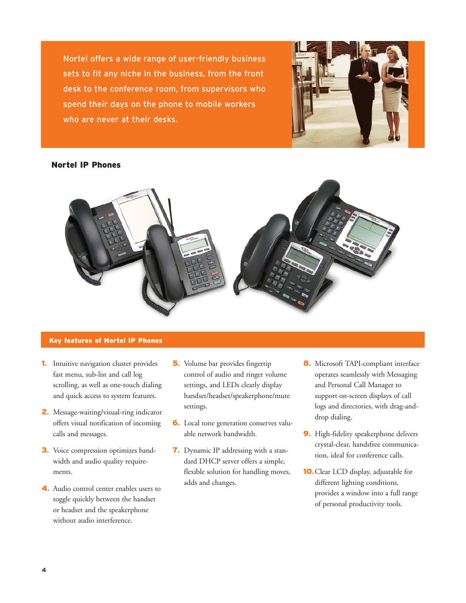Nortel offers a wide range of user-friendly business sets to fit any niche in the business, from the front desk to the conference room, from supervisors who spend their days on the phone to mobile workers who are never at their desks.



#### Nortel IP Phones



#### Key features of Nortel IP Phones

- 1**.** Intuitive navigation cluster provides fast menu, sub-list and call log scrolling, as well as one-touch dialing and quick access to system features.
- 2**.** Message-waiting/visual-ring indicator offers visual notification of incoming calls and messages.
- 3**.** Voice compression optimizes bandwidth and audio quality requirements.
- 4**.** Audio control center enables users to toggle quickly between the handset or headset and the speakerphone without audio interference.
- 5**.** Volume bar provides fingertip control of audio and ringer volume settings, and LEDs clearly display handset/headset/speakerphone/mute settings.
- 6**.** Local tone generation conserves valuable network bandwidth.
- 7**.** Dynamic IP addressing with a standard DHCP server offers a simple, flexible solution for handling moves, adds and changes.
- 8**.** Microsoft TAPI-compliant interface operates seamlessly with Messaging and Personal Call Manager to support on-screen displays of call logs and directories, with drag-anddrop dialing.
- 9**.** High-fidelity speakerphone delivers crystal-clear, handsfree communication, ideal for conference calls.
- 10**.**Clear LCD display, adjustable for different lighting conditions, provides a window into a full range of personal productivity tools.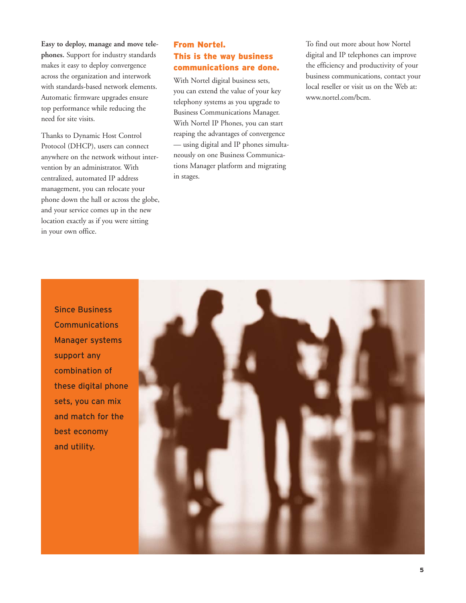**Easy to deploy, manage and move telephones.** Support for industry standards makes it easy to deploy convergence across the organization and interwork with standards-based network elements. Automatic firmware upgrades ensure top performance while reducing the need for site visits.

Thanks to Dynamic Host Control Protocol (DHCP), users can connect anywhere on the network without intervention by an administrator. With centralized, automated IP address management, you can relocate your phone down the hall or across the globe, and your service comes up in the new location exactly as if you were sitting in your own office.

### From Nortel. This is the way business communications are done.

With Nortel digital business sets, you can extend the value of your key telephony systems as you upgrade to Business Communications Manager. With Nortel IP Phones, you can start reaping the advantages of convergence — using digital and IP phones simultaneously on one Business Communications Manager platform and migrating in stages.

To find out more about how Nortel digital and IP telephones can improve the efficiency and productivity of your business communications, contact your local reseller or visit us on the Web at: www.nortel.com/bcm.

Since Business **Communications** Manager systems support any combination of these digital phone sets, you can mix and match for the best economy and utility.